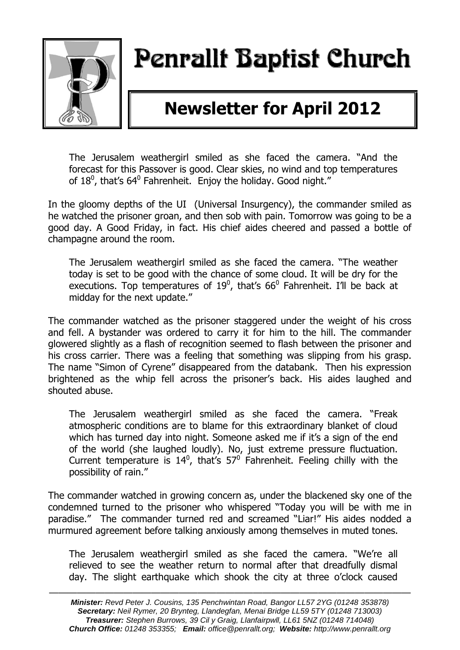

# Penrallt Baptist Church

## **Newsletter for April 2012**

The Jerusalem weathergirl smiled as she faced the camera. "And the forecast for this Passover is good. Clear skies, no wind and top temperatures of 18<sup>0</sup>, that's 64<sup>0</sup> Fahrenheit. Enjoy the holiday. Good night."

In the gloomy depths of the UI (Universal Insurgency), the commander smiled as he watched the prisoner groan, and then sob with pain. Tomorrow was going to be a good day. A Good Friday, in fact. His chief aides cheered and passed a bottle of champagne around the room.

The Jerusalem weathergirl smiled as she faced the camera. "The weather today is set to be good with the chance of some cloud. It will be dry for the executions. Top temperatures of 19<sup>0</sup>, that's 66<sup>0</sup> Fahrenheit. I'll be back at midday for the next update."

The commander watched as the prisoner staggered under the weight of his cross and fell. A bystander was ordered to carry it for him to the hill. The commander glowered slightly as a flash of recognition seemed to flash between the prisoner and his cross carrier. There was a feeling that something was slipping from his grasp. The name "Simon of Cyrene" disappeared from the databank. Then his expression brightened as the whip fell across the prisoner's back. His aides laughed and shouted abuse.

The Jerusalem weathergirl smiled as she faced the camera. "Freak atmospheric conditions are to blame for this extraordinary blanket of cloud which has turned day into night. Someone asked me if it's a sign of the end of the world (she laughed loudly). No, just extreme pressure fluctuation. Current temperature is  $14^0$ , that's  $57^0$  Fahrenheit. Feeling chilly with the possibility of rain."

The commander watched in growing concern as, under the blackened sky one of the condemned turned to the prisoner who whispered "Today you will be with me in paradise." The commander turned red and screamed "Liar!" His aides nodded a murmured agreement before talking anxiously among themselves in muted tones.

The Jerusalem weathergirl smiled as she faced the camera. "We're all relieved to see the weather return to normal after that dreadfully dismal day. The slight earthquake which shook the city at three o'clock caused

———————————————————————————————————————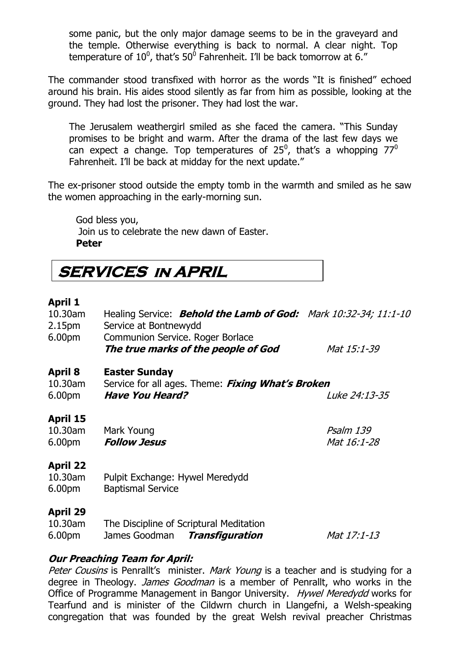some panic, but the only major damage seems to be in the graveyard and the temple. Otherwise everything is back to normal. A clear night. Top temperature of  $10^0$ , that's 50 $^0$  Fahrenheit. I'll be back tomorrow at 6."

The commander stood transfixed with horror as the words "It is finished" echoed around his brain. His aides stood silently as far from him as possible, looking at the ground. They had lost the prisoner. They had lost the war.

The Jerusalem weathergirl smiled as she faced the camera. "This Sunday promises to be bright and warm. After the drama of the last few days we can expect a change. Top temperatures of 25<sup>0</sup>, that's a whopping 77<sup>0</sup> Fahrenheit. I'll be back at midday for the next update."

The ex-prisoner stood outside the empty tomb in the warmth and smiled as he saw the women approaching in the early-morning sun.

God bless you, Join us to celebrate the new dawn of Easter. **Peter**

**SERVICES in APRIL** 

### **April 1**

| 10.30am<br>2.15pm<br>6.00pm               | Healing Service: <b>Behold the Lamb of God:</b> Mark 10:32-34; 11:1-10<br>Service at Bontnewydd<br>Communion Service. Roger Borlace |                          |  |
|-------------------------------------------|-------------------------------------------------------------------------------------------------------------------------------------|--------------------------|--|
|                                           | The true marks of the people of God                                                                                                 | Mat 15:1-39              |  |
| <b>April 8</b><br>10.30am<br>6.00pm       | <b>Easter Sunday</b><br>Service for all ages. Theme: Fixing What's Broken<br><b>Have You Heard?</b>                                 | <i>Luke 24:13-35</i>     |  |
| April 15<br>10.30am<br>6.00 <sub>pm</sub> | Mark Young<br><b>Follow Jesus</b>                                                                                                   | Psalm 139<br>Mat 16:1-28 |  |
| <b>April 22</b><br>10.30am<br>6.00pm      | Pulpit Exchange: Hywel Meredydd<br><b>Baptismal Service</b>                                                                         |                          |  |
| <b>April 29</b><br>10.30am<br>6.00pm      | The Discipline of Scriptural Meditation<br>James Goodman<br>Transfiguration                                                         | Mat 17:1-13              |  |

### **Our Preaching Team for April:**

Peter Cousins is Penrallt's minister. Mark Young is a teacher and is studying for a degree in Theology. *James Goodman* is a member of Penrallt, who works in the Office of Programme Management in Bangor University. Hywel Meredydd works for Tearfund and is minister of the Cildwrn church in Llangefni, a Welsh-speaking congregation that was founded by the great Welsh revival preacher Christmas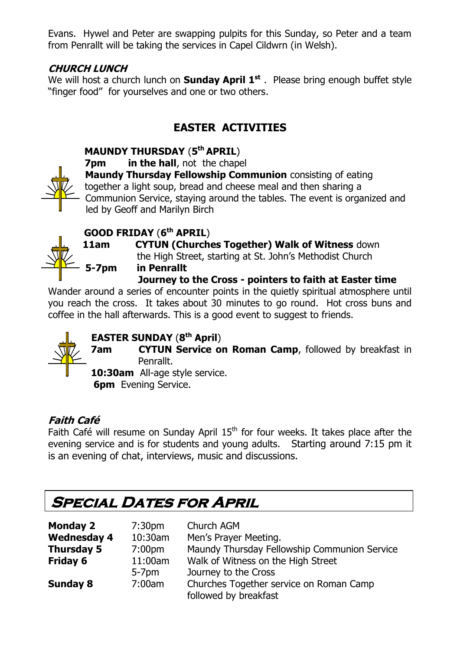Evans. Hywel and Peter are swapping pulpits for this Sunday, so Peter and a team from Penrallt will be taking the services in Capel Cildwrn (in Welsh).

### **CHURCH LUNCH**

We will host a church lunch on **Sunday April 1<sup>st</sup>**. Please bring enough buffet style "finger food" for yourselves and one or two others.

### **EASTER ACTIVITIES**

### **MAUNDY THURSDAY** (**5 th APRIL**)



**7pm in the hall**, not the chapel

 **Maundy Thursday Fellowship Communion** consisting of eating together a light soup, bread and cheese meal and then sharing a Communion Service, staying around the tables. The event is organized and led by Geoff and Marilyn Birch

### **GOOD FRIDAY** (**6 th APRIL**)



**11am CYTUN (Churches Together) Walk of Witness** down the High Street, starting at St. John's Methodist Church

**5-7pm in Penrallt**

**Journey to the Cross - pointers to faith at Easter time** 

Wander around a series of encounter points in the quietly spiritual atmosphere until you reach the cross. It takes about 30 minutes to go round. Hot cross buns and coffee in the hall afterwards. This is a good event to suggest to friends.



### **EASTER SUNDAY** (**8 th April**)

**7am CYTUN Service on Roman Camp**, followed by breakfast in Penrallt.

**10:30am** All-age style service.

**6pm** Evening Service.

### **Faith Café**

Faith Café will resume on Sunday April  $15<sup>th</sup>$  for four weeks. It takes place after the evening service and is for students and young adults. Starting around 7:15 pm it is an evening of chat, interviews, music and discussions.

### **SPECIAL DATES FOR APRIL**

| <b>Monday 2</b>    | 7:30 <sub>pm</sub> | Church AGM                                   |
|--------------------|--------------------|----------------------------------------------|
| <b>Wednesday 4</b> | 10:30am            | Men's Prayer Meeting.                        |
| <b>Thursday 5</b>  | 7:00pm             | Maundy Thursday Fellowship Communion Service |
| <b>Friday 6</b>    | 11:00am            | Walk of Witness on the High Street           |
|                    | $5-7pm$            | Journey to the Cross                         |
| <b>Sunday 8</b>    | 7:00am             | Churches Together service on Roman Camp      |
|                    |                    | followed by breakfast                        |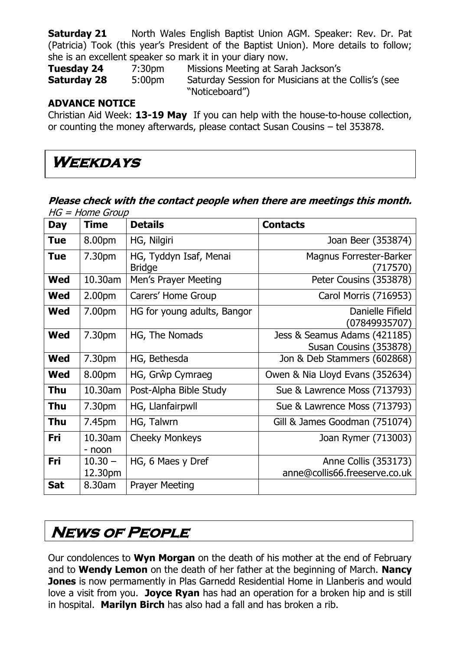**Saturday 21** North Wales English Baptist Union AGM. Speaker: Rev. Dr. Pat (Patricia) Took (this year's President of the Baptist Union). More details to follow; she is an excellent speaker so mark it in your diary now.

**Tuesday 24** 7:30pm Missions Meeting at Sarah Jackson's **Saturday 28** 5:00pm Saturday Session for Musicians at the Collis's (see "Noticeboard")

### **ADVANCE NOTICE**

Christian Aid Week: **13-19 May** If you can help with the house-to-house collection, or counting the money afterwards, please contact Susan Cousins – tel 353878.

### **Weekdays**

#### **Please check with the contact people when there are meetings this month.**   $HG = Home$  Group

| Day        | <b>Time</b>          | <b>Details</b>                          | <b>Contacts</b>                                        |
|------------|----------------------|-----------------------------------------|--------------------------------------------------------|
| <b>Tue</b> | 8.00pm               | HG, Nilgiri                             | Joan Beer (353874)                                     |
| <b>Tue</b> | 7.30pm               | HG, Tyddyn Isaf, Menai<br><b>Bridge</b> | Magnus Forrester-Barker<br>(717570)                    |
| <b>Wed</b> | 10.30am              | Men's Prayer Meeting                    | Peter Cousins (353878)                                 |
| Wed        | 2.00 <sub>pm</sub>   | Carers' Home Group                      | Carol Morris (716953)                                  |
| <b>Wed</b> | 7.00pm               | HG for young adults, Bangor             | Danielle Fifield<br>(07849935707)                      |
| <b>Wed</b> | 7.30pm               | HG, The Nomads                          | Jess & Seamus Adams (421185)<br>Susan Cousins (353878) |
| <b>Wed</b> | 7.30pm               | HG, Bethesda                            | Jon & Deb Stammers (602868)                            |
| <b>Wed</b> | 8.00pm               | HG, Grŵp Cymraeg                        | Owen & Nia Lloyd Evans (352634)                        |
| Thu        | 10.30am              | Post-Alpha Bible Study                  | Sue & Lawrence Moss (713793)                           |
| Thu        | 7.30pm               | HG, Llanfairpwll                        | Sue & Lawrence Moss (713793)                           |
| Thu        | 7.45pm               | HG, Talwrn                              | Gill & James Goodman (751074)                          |
| Fri        | 10.30am<br>- noon    | <b>Cheeky Monkeys</b>                   | Joan Rymer (713003)                                    |
| Fri        | $10.30 -$<br>12.30pm | HG, 6 Maes y Dref                       | Anne Collis (353173)<br>anne@collis66.freeserve.co.uk  |
| <b>Sat</b> | 8.30am               | <b>Prayer Meeting</b>                   |                                                        |

### **News of People**

Our condolences to **Wyn Morgan** on the death of his mother at the end of February and to **Wendy Lemon** on the death of her father at the beginning of March. **Nancy Jones** is now permamently in Plas Garnedd Residential Home in Llanberis and would love a visit from you. **Joyce Ryan** has had an operation for a broken hip and is still in hospital. **Marilyn Birch** has also had a fall and has broken a rib.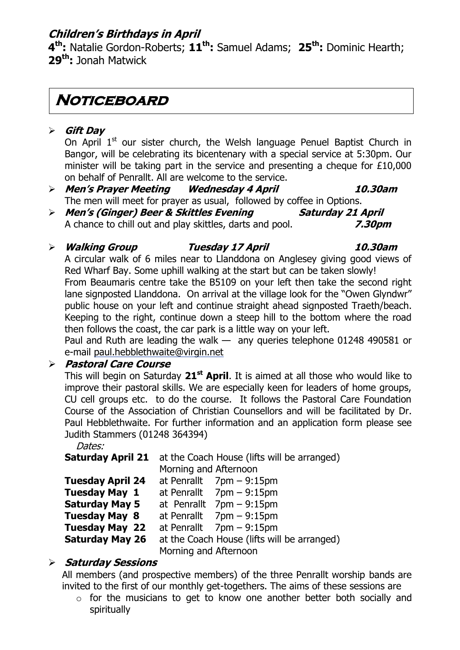### **Children's Birthdays in April**

**4 th:** Natalie Gordon-Roberts; **11th:** Samuel Adams; **25th:** Dominic Hearth; **29th:** Jonah Matwick

### **Noticeboard**

### **Gift Day**

On April  $1<sup>st</sup>$  our sister church, the Welsh language Penuel Baptist Church in Bangor, will be celebrating its bicentenary with a special service at 5:30pm. Our minister will be taking part in the service and presenting a cheque for  $£10,000$ on behalf of Penrallt. All are welcome to the service.

 **Men's Prayer Meeting Wednesday 4 April 10.30am** The men will meet for prayer as usual, followed by coffee in Options.

 **Men's (Ginger) Beer & Skittles Evening Saturday 21 April** A chance to chill out and play skittles, darts and pool. **7.30pm**

### **Walking Group Tuesday 17 April 10.30am**

A circular walk of 6 miles near to Llanddona on Anglesey giving good views of Red Wharf Bay. Some uphill walking at the start but can be taken slowly! From Beaumaris centre take the B5109 on your left then take the second right lane signposted Llanddona. On arrival at the village look for the "Owen Glyndwr" public house on your left and continue straight ahead signposted Traeth/beach. Keeping to the right, continue down a steep hill to the bottom where the road then follows the coast, the car park is a little way on your left.

Paul and Ruth are leading the walk — any queries telephone 01248 490581 or e-mail [paul.hebblethwaite@virgin.net](mailto:paul.hebblethwaite@virgin.net)

### **Pastoral Care Course**

This will begin on Saturday **21st April**. It is aimed at all those who would like to improve their pastoral skills. We are especially keen for leaders of home groups, CU cell groups etc. to do the course. It follows the Pastoral Care Foundation Course of the Association of Christian Counsellors and will be facilitated by Dr. Paul Hebblethwaite. For further information and an application form please see Judith Stammers (01248 364394)

Dates:

**Saturday April 21** at the Coach House (lifts will be arranged) Morning and Afternoon

|                         | <u>PIULITING ANCITIOUT</u> |                                             |
|-------------------------|----------------------------|---------------------------------------------|
| <b>Tuesday April 24</b> |                            | at Penrallt $7pm - 9:15pm$                  |
| <b>Tuesday May 1</b>    |                            | at Penrallt $7pm - 9:15pm$                  |
| <b>Saturday May 5</b>   |                            | at Penrallt $7pm - 9:15pm$                  |
| <b>Tuesday May 8</b>    |                            | at Penrallt $7pm - 9:15pm$                  |
| <b>Tuesday May 22</b>   |                            | at Penrallt $7pm - 9:15pm$                  |
| <b>Saturday May 26</b>  |                            | at the Coach House (lifts will be arranged) |
|                         | Morning and Afternoon      |                                             |

### **Saturday Sessions**

All members (and prospective members) of the three Penrallt worship bands are invited to the first of our monthly get-togethers. The aims of these sessions are

o for the musicians to get to know one another better both socially and spiritually